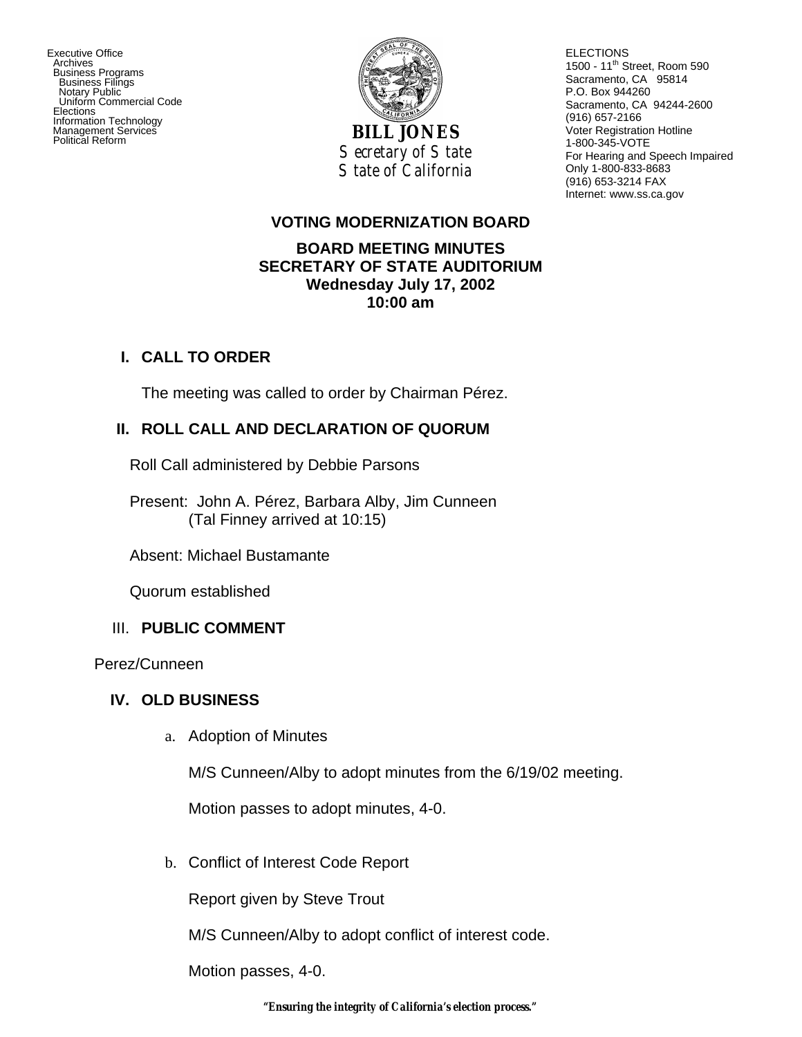Executive Office Archives Business Programs Business Filings Notary Public Uniform Commercial Code Elections Information Technology Management Services



ELECTIONS 1500 - 11<sup>th</sup> Street, Room 590 Sacramento, CA 95814 P.O. Box 944260 Sacramento, CA 94244-2600 (916) 657-2166 Voter Registration Hotline 1-800-345-VOTE For Hearing and Speech Impaired Only 1-800-833-8683 (916) 653-3214 FAX Internet: www.ss.ca.gov

#### **VOTING MODERNIZATION BOARD**

### **BOARD MEETING MINUTES SECRETARY OF STATE AUDITORIUM Wednesday July 17, 2002 10:00 am**

### **I. CALL TO ORDER**

The meeting was called to order by Chairman Pérez.

## **II. ROLL CALL AND DECLARATION OF QUORUM**

Roll Call administered by Debbie Parsons

Present: John A. Pérez, Barbara Alby, Jim Cunneen (Tal Finney arrived at 10:15)

Absent: Michael Bustamante

Quorum established

## III. **PUBLIC COMMENT**

Perez/Cunneen

## **IV. OLD BUSINESS**

a. Adoption of Minutes

M/S Cunneen/Alby to adopt minutes from the 6/19/02 meeting.

Motion passes to adopt minutes, 4-0.

b. Conflict of Interest Code Report

Report given by Steve Trout

M/S Cunneen/Alby to adopt conflict of interest code.

Motion passes, 4-0.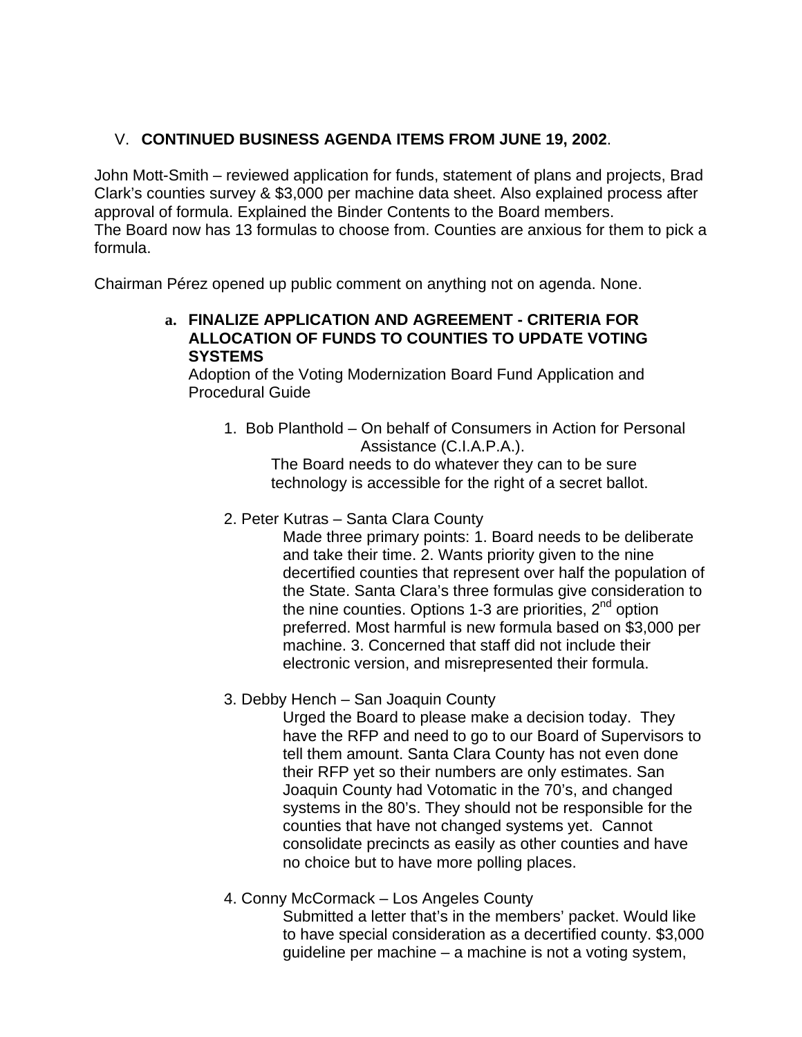# V. **CONTINUED BUSINESS AGENDA ITEMS FROM JUNE 19, 2002**.

John Mott-Smith – reviewed application for funds, statement of plans and projects, Brad Clark's counties survey & \$3,000 per machine data sheet. Also explained process after approval of formula. Explained the Binder Contents to the Board members. The Board now has 13 formulas to choose from. Counties are anxious for them to pick a formula.

Chairman Pérez opened up public comment on anything not on agenda. None.

#### **a. FINALIZE APPLICATION AND AGREEMENT - CRITERIA FOR ALLOCATION OF FUNDS TO COUNTIES TO UPDATE VOTING SYSTEMS**

Adoption of the Voting Modernization Board Fund Application and Procedural Guide

1. Bob Planthold – On behalf of Consumers in Action for Personal Assistance (C.I.A.P.A.).

The Board needs to do whatever they can to be sure technology is accessible for the right of a secret ballot.

2. Peter Kutras – Santa Clara County

Made three primary points: 1. Board needs to be deliberate and take their time. 2. Wants priority given to the nine decertified counties that represent over half the population of the State. Santa Clara's three formulas give consideration to the nine counties. Options 1-3 are priorities,  $2^{nd}$  option preferred. Most harmful is new formula based on \$3,000 per machine. 3. Concerned that staff did not include their electronic version, and misrepresented their formula.

3. Debby Hench – San Joaquin County

Urged the Board to please make a decision today. They have the RFP and need to go to our Board of Supervisors to tell them amount. Santa Clara County has not even done their RFP yet so their numbers are only estimates. San Joaquin County had Votomatic in the 70's, and changed systems in the 80's. They should not be responsible for the counties that have not changed systems yet. Cannot consolidate precincts as easily as other counties and have no choice but to have more polling places.

4. Conny McCormack – Los Angeles County

Submitted a letter that's in the members' packet. Would like to have special consideration as a decertified county. \$3,000 guideline per machine – a machine is not a voting system,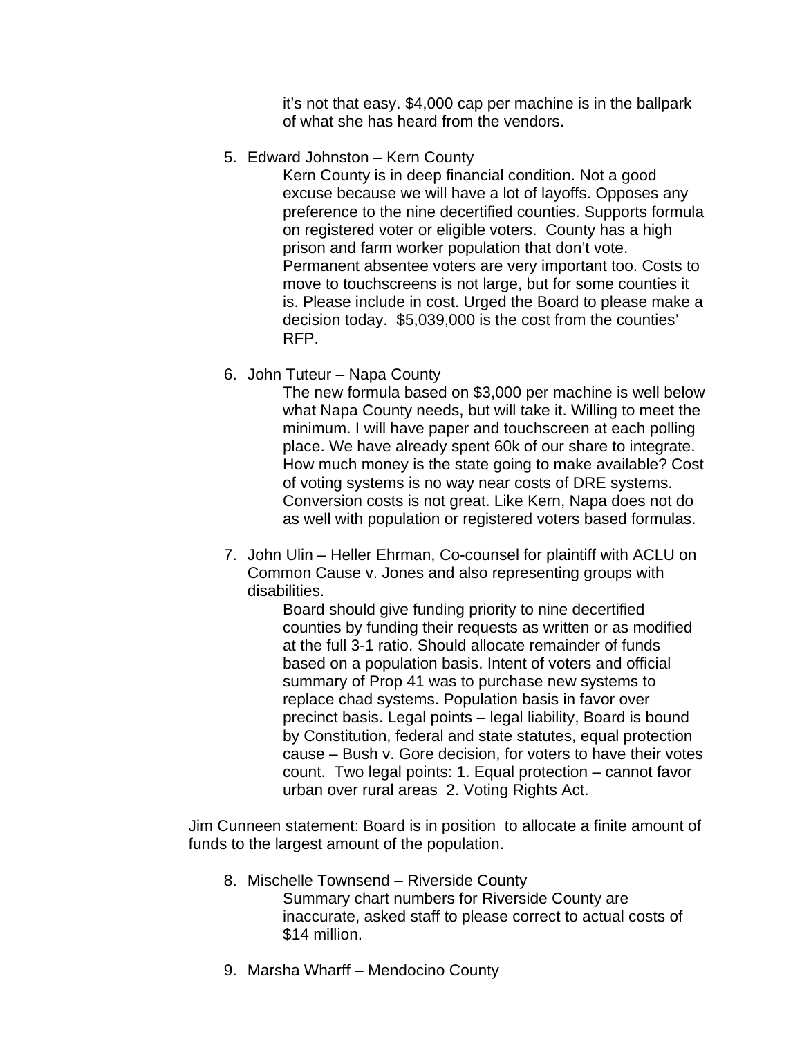it's not that easy. \$4,000 cap per machine is in the ballpark of what she has heard from the vendors.

5. Edward Johnston – Kern County

Kern County is in deep financial condition. Not a good excuse because we will have a lot of layoffs. Opposes any preference to the nine decertified counties. Supports formula on registered voter or eligible voters. County has a high prison and farm worker population that don't vote. Permanent absentee voters are very important too. Costs to move to touchscreens is not large, but for some counties it is. Please include in cost. Urged the Board to please make a decision today. \$5,039,000 is the cost from the counties' RFP.

6. John Tuteur – Napa County

The new formula based on \$3,000 per machine is well below what Napa County needs, but will take it. Willing to meet the minimum. I will have paper and touchscreen at each polling place. We have already spent 60k of our share to integrate. How much money is the state going to make available? Cost of voting systems is no way near costs of DRE systems. Conversion costs is not great. Like Kern, Napa does not do as well with population or registered voters based formulas.

7. John Ulin – Heller Ehrman, Co-counsel for plaintiff with ACLU on Common Cause v. Jones and also representing groups with disabilities.

Board should give funding priority to nine decertified counties by funding their requests as written or as modified at the full 3-1 ratio. Should allocate remainder of funds based on a population basis. Intent of voters and official summary of Prop 41 was to purchase new systems to replace chad systems. Population basis in favor over precinct basis. Legal points – legal liability, Board is bound by Constitution, federal and state statutes, equal protection cause – Bush v. Gore decision, for voters to have their votes count. Two legal points: 1. Equal protection – cannot favor urban over rural areas 2. Voting Rights Act.

Jim Cunneen statement: Board is in position to allocate a finite amount of funds to the largest amount of the population.

- 8. Mischelle Townsend Riverside County Summary chart numbers for Riverside County are inaccurate, asked staff to please correct to actual costs of \$14 million.
- 9. Marsha Wharff Mendocino County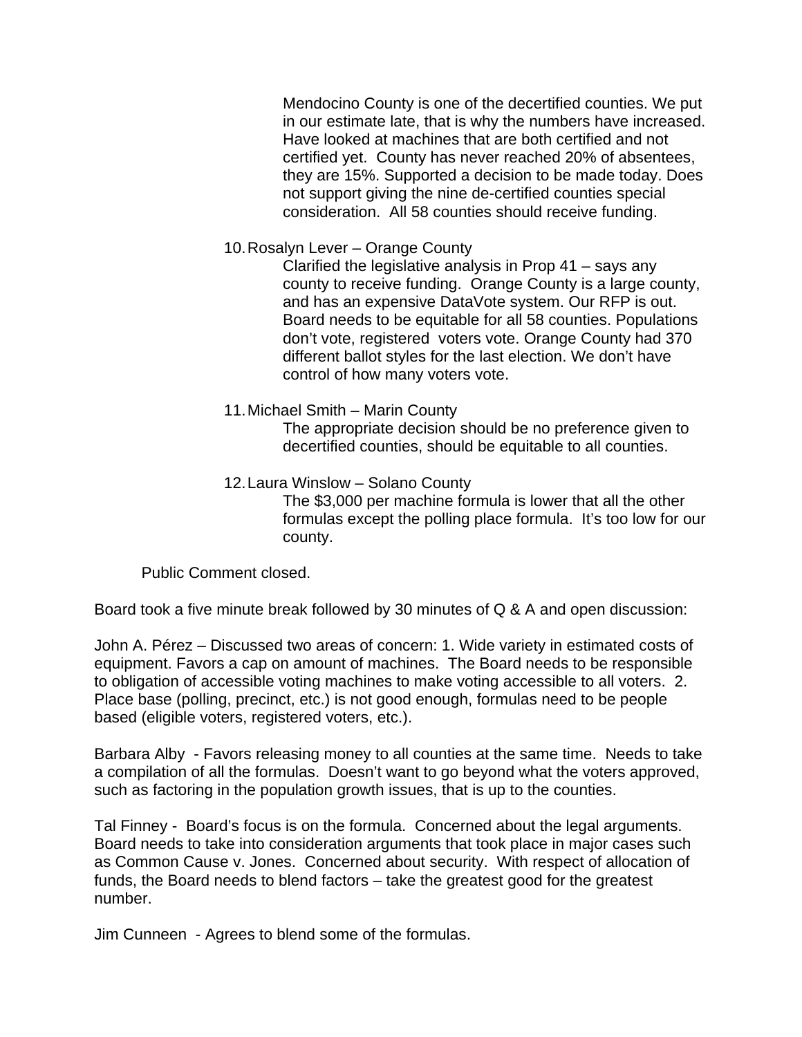Mendocino County is one of the decertified counties. We put in our estimate late, that is why the numbers have increased. Have looked at machines that are both certified and not certified yet. County has never reached 20% of absentees, they are 15%. Supported a decision to be made today. Does not support giving the nine de-certified counties special consideration. All 58 counties should receive funding.

10.Rosalyn Lever – Orange County

Clarified the legislative analysis in Prop 41 – says any county to receive funding. Orange County is a large county, and has an expensive DataVote system. Our RFP is out. Board needs to be equitable for all 58 counties. Populations don't vote, registered voters vote. Orange County had 370 different ballot styles for the last election. We don't have control of how many voters vote.

11.Michael Smith – Marin County

The appropriate decision should be no preference given to decertified counties, should be equitable to all counties.

12.Laura Winslow – Solano County

The \$3,000 per machine formula is lower that all the other formulas except the polling place formula. It's too low for our county.

Public Comment closed.

Board took a five minute break followed by 30 minutes of Q & A and open discussion:

John A. Pérez – Discussed two areas of concern: 1. Wide variety in estimated costs of equipment. Favors a cap on amount of machines. The Board needs to be responsible to obligation of accessible voting machines to make voting accessible to all voters. 2. Place base (polling, precinct, etc.) is not good enough, formulas need to be people based (eligible voters, registered voters, etc.).

Barbara Alby - Favors releasing money to all counties at the same time. Needs to take a compilation of all the formulas. Doesn't want to go beyond what the voters approved, such as factoring in the population growth issues, that is up to the counties.

Tal Finney - Board's focus is on the formula. Concerned about the legal arguments. Board needs to take into consideration arguments that took place in major cases such as Common Cause v. Jones. Concerned about security. With respect of allocation of funds, the Board needs to blend factors – take the greatest good for the greatest number.

Jim Cunneen - Agrees to blend some of the formulas.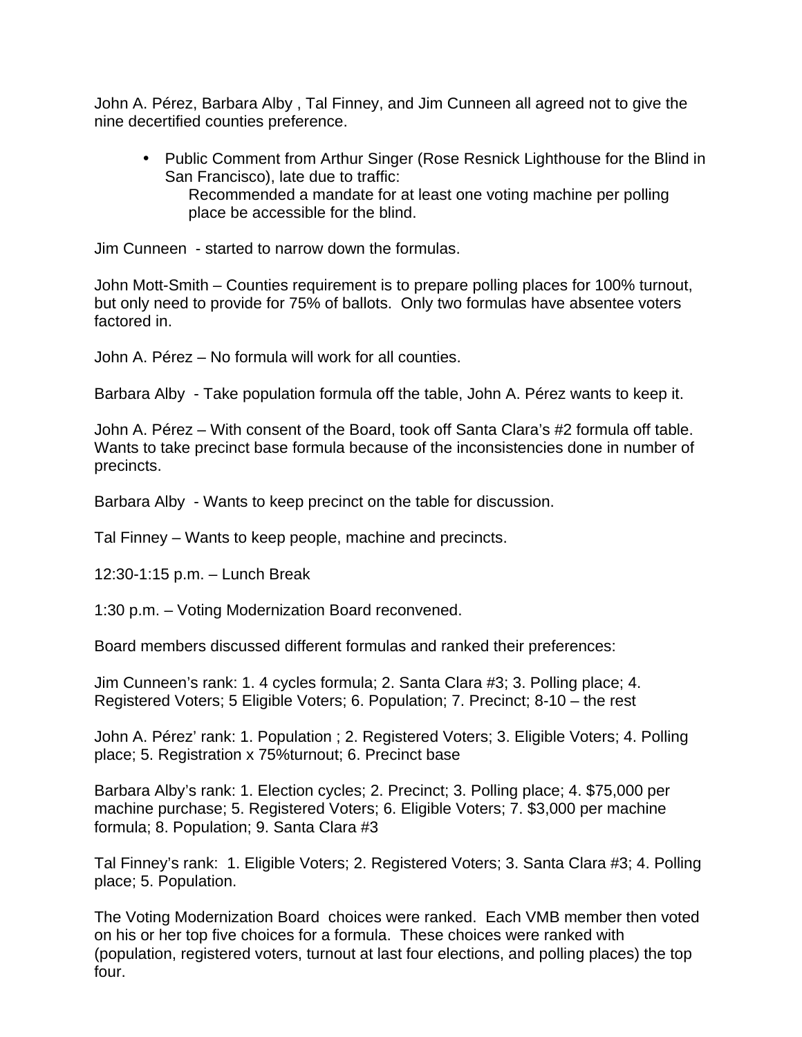John A. Pérez, Barbara Alby , Tal Finney, and Jim Cunneen all agreed not to give the nine decertified counties preference.

• Public Comment from Arthur Singer (Rose Resnick Lighthouse for the Blind in San Francisco), late due to traffic: Recommended a mandate for at least one voting machine per polling place be accessible for the blind.

Jim Cunneen - started to narrow down the formulas.

John Mott-Smith – Counties requirement is to prepare polling places for 100% turnout, but only need to provide for 75% of ballots. Only two formulas have absentee voters factored in.

John A. Pérez – No formula will work for all counties.

Barbara Alby - Take population formula off the table, John A. Pérez wants to keep it.

John A. Pérez – With consent of the Board, took off Santa Clara's #2 formula off table. Wants to take precinct base formula because of the inconsistencies done in number of precincts.

Barbara Alby - Wants to keep precinct on the table for discussion.

Tal Finney – Wants to keep people, machine and precincts.

12:30-1:15 p.m. – Lunch Break

1:30 p.m. – Voting Modernization Board reconvened.

Board members discussed different formulas and ranked their preferences:

Jim Cunneen's rank: 1. 4 cycles formula; 2. Santa Clara #3; 3. Polling place; 4. Registered Voters; 5 Eligible Voters; 6. Population; 7. Precinct; 8-10 – the rest

John A. Pérez' rank: 1. Population ; 2. Registered Voters; 3. Eligible Voters; 4. Polling place; 5. Registration x 75%turnout; 6. Precinct base

Barbara Alby's rank: 1. Election cycles; 2. Precinct; 3. Polling place; 4. \$75,000 per machine purchase; 5. Registered Voters; 6. Eligible Voters; 7. \$3,000 per machine formula; 8. Population; 9. Santa Clara #3

Tal Finney's rank: 1. Eligible Voters; 2. Registered Voters; 3. Santa Clara #3; 4. Polling place; 5. Population.

The Voting Modernization Board choices were ranked. Each VMB member then voted on his or her top five choices for a formula. These choices were ranked with (population, registered voters, turnout at last four elections, and polling places) the top four.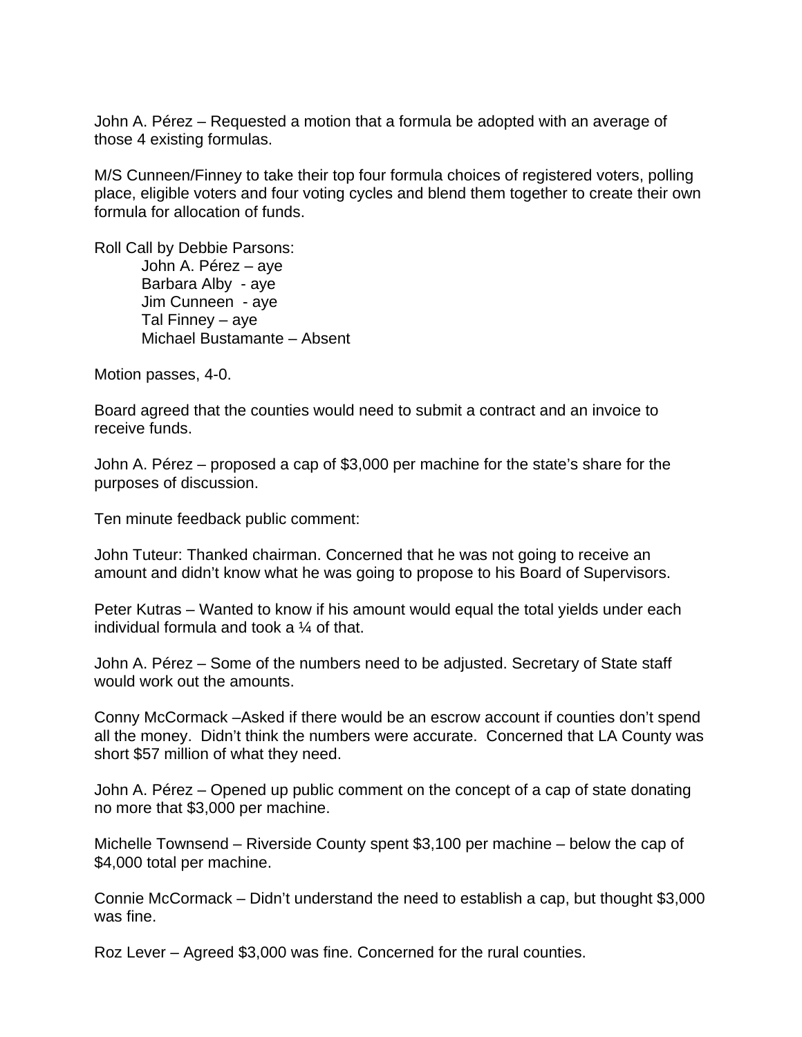John A. Pérez – Requested a motion that a formula be adopted with an average of those 4 existing formulas.

M/S Cunneen/Finney to take their top four formula choices of registered voters, polling place, eligible voters and four voting cycles and blend them together to create their own formula for allocation of funds.

Roll Call by Debbie Parsons: John A. Pérez – aye Barbara Alby - aye Jim Cunneen - aye Tal Finney – aye Michael Bustamante – Absent

Motion passes, 4-0.

Board agreed that the counties would need to submit a contract and an invoice to receive funds.

John A. Pérez – proposed a cap of \$3,000 per machine for the state's share for the purposes of discussion.

Ten minute feedback public comment:

John Tuteur: Thanked chairman. Concerned that he was not going to receive an amount and didn't know what he was going to propose to his Board of Supervisors.

Peter Kutras – Wanted to know if his amount would equal the total yields under each individual formula and took a ¼ of that.

John A. Pérez – Some of the numbers need to be adjusted. Secretary of State staff would work out the amounts.

Conny McCormack –Asked if there would be an escrow account if counties don't spend all the money. Didn't think the numbers were accurate. Concerned that LA County was short \$57 million of what they need.

John A. Pérez – Opened up public comment on the concept of a cap of state donating no more that \$3,000 per machine.

Michelle Townsend – Riverside County spent \$3,100 per machine – below the cap of \$4,000 total per machine.

Connie McCormack – Didn't understand the need to establish a cap, but thought \$3,000 was fine.

Roz Lever – Agreed \$3,000 was fine. Concerned for the rural counties.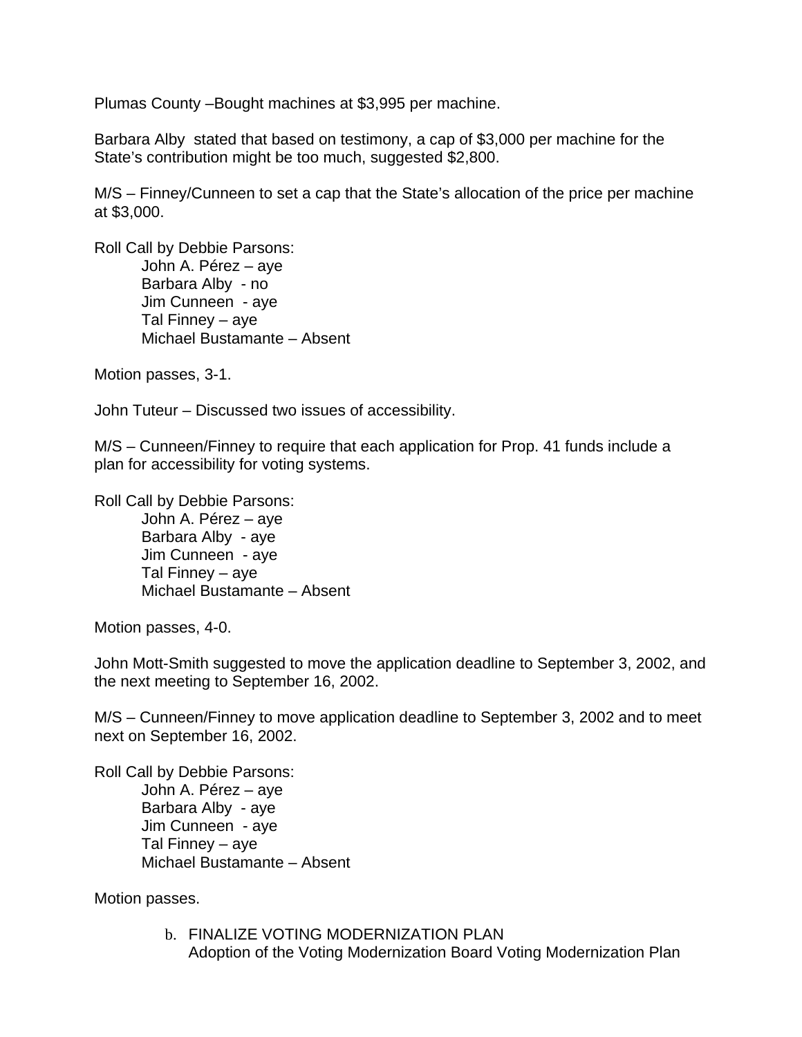Plumas County –Bought machines at \$3,995 per machine.

Barbara Alby stated that based on testimony, a cap of \$3,000 per machine for the State's contribution might be too much, suggested \$2,800.

M/S – Finney/Cunneen to set a cap that the State's allocation of the price per machine at \$3,000.

Roll Call by Debbie Parsons: John A. Pérez – aye Barbara Alby - no Jim Cunneen - aye Tal Finney – aye Michael Bustamante – Absent

Motion passes, 3-1.

John Tuteur – Discussed two issues of accessibility.

M/S – Cunneen/Finney to require that each application for Prop. 41 funds include a plan for accessibility for voting systems.

Roll Call by Debbie Parsons: John A. Pérez – aye

> Barbara Alby - aye Jim Cunneen - aye Tal Finney – aye Michael Bustamante – Absent

Motion passes, 4-0.

John Mott-Smith suggested to move the application deadline to September 3, 2002, and the next meeting to September 16, 2002.

M/S – Cunneen/Finney to move application deadline to September 3, 2002 and to meet next on September 16, 2002.

Roll Call by Debbie Parsons: John A. Pérez – aye Barbara Alby - aye Jim Cunneen - aye Tal Finney – aye Michael Bustamante – Absent

Motion passes.

b. FINALIZE VOTING MODERNIZATION PLAN Adoption of the Voting Modernization Board Voting Modernization Plan